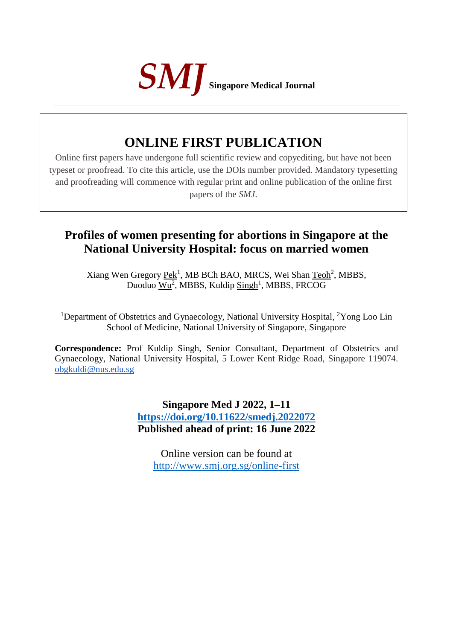

# **ONLINE FIRST PUBLICATION**

Online first papers have undergone full scientific review and copyediting, but have not been typeset or proofread. To cite this article, use the DOIs number provided. Mandatory typesetting and proofreading will commence with regular print and online publication of the online first papers of the *SMJ*.

# **Profiles of women presenting for abortions in Singapore at the National University Hospital: focus on married women**

Xiang Wen Gregory Pek<sup>1</sup>, MB BCh BAO, MRCS, Wei Shan Teoh<sup>2</sup>, MBBS, Duoduo Wu<sup>2</sup>, MBBS, Kuldip Singh<sup>1</sup>, MBBS, FRCOG

<sup>1</sup>Department of Obstetrics and Gynaecology, National University Hospital, <sup>2</sup>Yong Loo Lin School of Medicine, National University of Singapore, Singapore

**Correspondence:** Prof Kuldip Singh, Senior Consultant, Department of Obstetrics and Gynaecology, National University Hospital, 5 Lower Kent Ridge Road, Singapore 119074. obgkuldi@nus.edu.sg

> **Singapore Med J 2022, 1–11 <https://doi.org/10.11622/smedj.2022072> Published ahead of print: 16 June 2022**

Online version can be found at <http://www.smj.org.sg/online-first>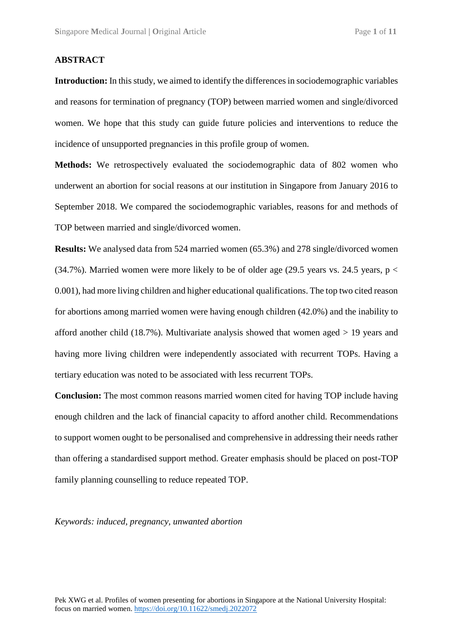## **ABSTRACT**

**Introduction:** In this study, we aimed to identify the differences in sociodemographic variables and reasons for termination of pregnancy (TOP) between married women and single/divorced women. We hope that this study can guide future policies and interventions to reduce the incidence of unsupported pregnancies in this profile group of women.

**Methods:** We retrospectively evaluated the sociodemographic data of 802 women who underwent an abortion for social reasons at our institution in Singapore from January 2016 to September 2018. We compared the sociodemographic variables, reasons for and methods of TOP between married and single/divorced women.

**Results:** We analysed data from 524 married women (65.3%) and 278 single/divorced women (34.7%). Married women were more likely to be of older age (29.5 years vs. 24.5 years,  $p <$ 0.001), had more living children and higher educational qualifications. The top two cited reason for abortions among married women were having enough children (42.0%) and the inability to afford another child (18.7%). Multivariate analysis showed that women aged > 19 years and having more living children were independently associated with recurrent TOPs. Having a tertiary education was noted to be associated with less recurrent TOPs.

**Conclusion:** The most common reasons married women cited for having TOP include having enough children and the lack of financial capacity to afford another child. Recommendations to support women ought to be personalised and comprehensive in addressing their needs rather than offering a standardised support method. Greater emphasis should be placed on post-TOP family planning counselling to reduce repeated TOP.

*Keywords: induced, pregnancy, unwanted abortion*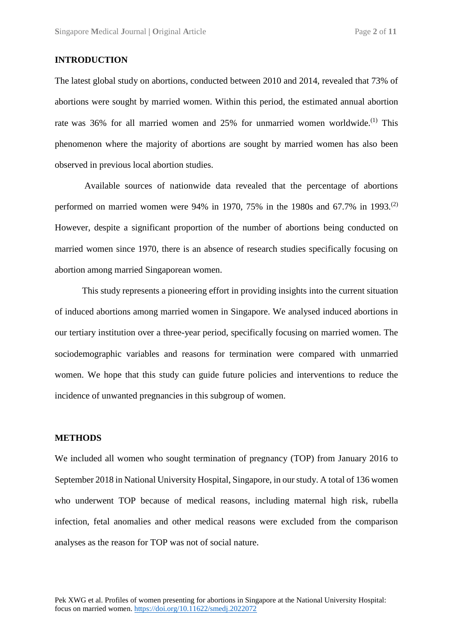# **INTRODUCTION**

The latest global study on abortions, conducted between 2010 and 2014, revealed that 73% of abortions were sought by married women. Within this period, the estimated annual abortion rate was 36% for all married women and 25% for unmarried women worldwide.<sup>(1)</sup> This phenomenon where the majority of abortions are sought by married women has also been observed in previous local abortion studies.

Available sources of nationwide data revealed that the percentage of abortions performed on married women were 94% in 1970, 75% in the 1980s and 67.7% in 1993.<sup>(2)</sup> However, despite a significant proportion of the number of abortions being conducted on married women since 1970, there is an absence of research studies specifically focusing on abortion among married Singaporean women.

This study represents a pioneering effort in providing insights into the current situation of induced abortions among married women in Singapore. We analysed induced abortions in our tertiary institution over a three-year period, specifically focusing on married women. The sociodemographic variables and reasons for termination were compared with unmarried women. We hope that this study can guide future policies and interventions to reduce the incidence of unwanted pregnancies in this subgroup of women.

# **METHODS**

We included all women who sought termination of pregnancy (TOP) from January 2016 to September 2018 in National University Hospital, Singapore, in our study. A total of 136 women who underwent TOP because of medical reasons, including maternal high risk, rubella infection, fetal anomalies and other medical reasons were excluded from the comparison analyses as the reason for TOP was not of social nature.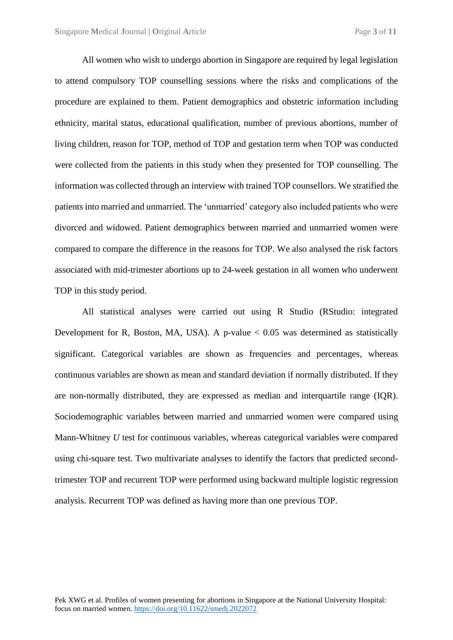All women who wish to undergo abortion in Singapore are required by legal legislation to attend compulsory TOP counselling sessions where the risks and complications of the procedure are explained to them. Patient demographics and obstetric information including ethnicity, marital status, educational qualification, number of previous abortions, number of living children, reason for TOP, method of TOP and gestation term when TOP was conducted were collected from the patients in this study when they presented for TOP counselling. The information was collected through an interview with trained TOP counsellors. We stratified the patients into married and unmarried. The 'unmarried' category also included patients who were divorced and widowed. Patient demographics between married and unmarried women were compared to compare the difference in the reasons for TOP. We also analysed the risk factors associated with mid-trimester abortions up to 24-week gestation in all women who underwent TOP in this study period.

All statistical analyses were carried out using R Studio (RStudio: integrated Development for R, Boston, MA, USA). A p-value  $< 0.05$  was determined as statistically significant. Categorical variables are shown as frequencies and percentages, whereas continuous variables are shown as mean and standard deviation if normally distributed. If they are non-normally distributed, they are expressed as median and interquartile range (IQR). Sociodemographic variables between married and unmarried women were compared using Mann-Whitney *U* test for continuous variables, whereas categorical variables were compared using chi-square test. Two multivariate analyses to identify the factors that predicted secondtrimester TOP and recurrent TOP were performed using backward multiple logistic regression analysis. Recurrent TOP was defined as having more than one previous TOP.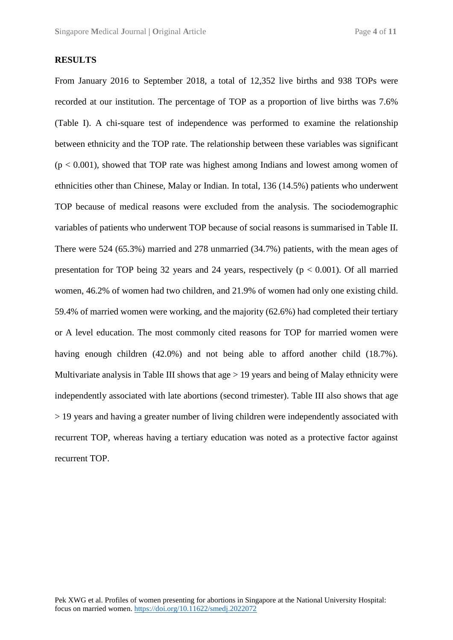### **RESULTS**

From January 2016 to September 2018, a total of 12,352 live births and 938 TOPs were recorded at our institution. The percentage of TOP as a proportion of live births was 7.6% (Table I). A chi-square test of independence was performed to examine the relationship between ethnicity and the TOP rate. The relationship between these variables was significant  $(p < 0.001)$ , showed that TOP rate was highest among Indians and lowest among women of ethnicities other than Chinese, Malay or Indian. In total, 136 (14.5%) patients who underwent TOP because of medical reasons were excluded from the analysis. The sociodemographic variables of patients who underwent TOP because of social reasons is summarised in Table II. There were 524 (65.3%) married and 278 unmarried (34.7%) patients, with the mean ages of presentation for TOP being 32 years and 24 years, respectively ( $p < 0.001$ ). Of all married women, 46.2% of women had two children, and 21.9% of women had only one existing child. 59.4% of married women were working, and the majority (62.6%) had completed their tertiary or A level education. The most commonly cited reasons for TOP for married women were having enough children (42.0%) and not being able to afford another child (18.7%). Multivariate analysis in Table III shows that  $\alpha$ ge  $> 19$  years and being of Malay ethnicity were independently associated with late abortions (second trimester). Table III also shows that age > 19 years and having a greater number of living children were independently associated with recurrent TOP, whereas having a tertiary education was noted as a protective factor against recurrent TOP.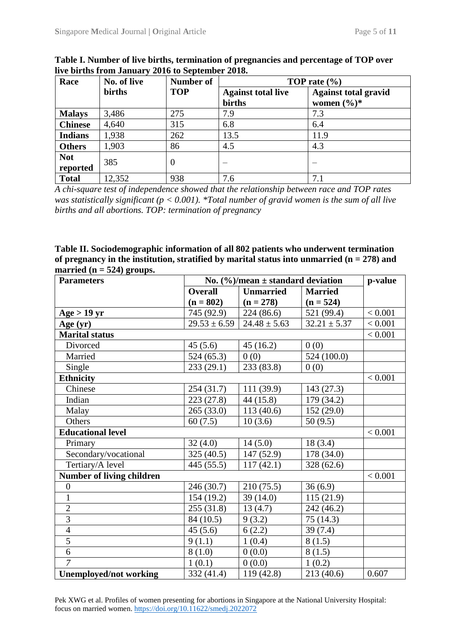| Race                   | No. of live | <b>Number of</b> | TOP rate $(\% )$                    |                                                        |  |
|------------------------|-------------|------------------|-------------------------------------|--------------------------------------------------------|--|
|                        | births      | <b>TOP</b>       | <b>Against total live</b><br>births | <b>Against total gravid</b><br>women $(\frac{6}{6})^*$ |  |
| <b>Malays</b>          | 3,486       | 275              | 7.9                                 | 7.3                                                    |  |
| <b>Chinese</b>         | 4,640       | 315              | 6.8                                 | 6.4                                                    |  |
| <b>Indians</b>         | 1,938       | 262              | 13.5                                | 11.9                                                   |  |
| <b>Others</b>          | 1,903       | 86               | 4.5                                 | 4.3                                                    |  |
| <b>Not</b><br>reported | 385         | $\theta$         |                                     |                                                        |  |
| <b>Total</b>           | 12,352      | 938              | 7.6                                 | 7.1                                                    |  |

**Table I. Number of live births, termination of pregnancies and percentage of TOP over live births from January 2016 to September 2018.** 

*A chi-square test of independence showed that the relationship between race and TOP rates was statistically significant (p < 0.001). \*Total number of gravid women is the sum of all live births and all abortions. TOP: termination of pregnancy*

**Table II. Sociodemographic information of all 802 patients who underwent termination**  of pregnancy in the institution, stratified by marital status into unmarried  $(n = 278)$  and married  $(n = 524)$  groups.

| <b>Parameters</b>                | No. $(\frac{6}{6})$ /mean ± standard deviation | p-value          |                  |         |
|----------------------------------|------------------------------------------------|------------------|------------------|---------|
|                                  | <b>Overall</b>                                 | <b>Unmarried</b> | <b>Married</b>   |         |
|                                  | $(n = 802)$                                    | $(n = 278)$      | $(n = 524)$      |         |
| Age $>$ 19 yr                    | 745 (92.9)                                     | 224(86.6)        | 521 (99.4)       | < 0.001 |
| Age $(yr)$                       | $29.53 \pm 6.59$                               | $24.48 \pm 5.63$ | $32.21 \pm 5.37$ | < 0.001 |
| <b>Marital status</b>            |                                                |                  |                  | < 0.001 |
| Divorced                         | 45(5.6)                                        | 45(16.2)         | 0(0)             |         |
| Married                          | 524(65.3)                                      | 0(0)             | 524 (100.0)      |         |
| Single                           | 233(29.1)                                      | 233 (83.8)       | 0(0)             |         |
| <b>Ethnicity</b>                 |                                                |                  |                  | < 0.001 |
| Chinese                          | 254(31.7)                                      | 111 (39.9)       | 143(27.3)        |         |
| Indian                           | 223(27.8)                                      | 44(15.8)         | 179 (34.2)       |         |
| Malay                            | 265(33.0)                                      | 113(40.6)        | 152(29.0)        |         |
| Others                           | 60(7.5)                                        | 10(3.6)          | 50(9.5)          |         |
| <b>Educational level</b>         |                                                |                  |                  | < 0.001 |
| Primary                          | 32(4.0)                                        | 14(5.0)          | 18(3.4)          |         |
| Secondary/vocational             | 325(40.5)                                      | 147(52.9)        | 178 (34.0)       |         |
| Tertiary/A level                 | 445 (55.5)                                     | 117(42.1)        | 328(62.6)        |         |
| <b>Number of living children</b> |                                                |                  |                  | < 0.001 |
| $\boldsymbol{0}$                 | 246 (30.7)                                     | 210(75.5)        | 36(6.9)          |         |
| $\mathbf{1}$                     | 154 (19.2)                                     | 39(14.0)         | 115(21.9)        |         |
| $\overline{2}$                   | 255(31.8)                                      | 13(4.7)          | 242 (46.2)       |         |
| $\overline{3}$                   | 84 (10.5)                                      | 9(3.2)           | 75(14.3)         |         |
| $\overline{4}$                   | 45(5.6)                                        | 6(2.2)           | 39(7.4)          |         |
| $\overline{5}$                   | 9(1.1)                                         | 1(0.4)           | 8(1.5)           |         |
| 6                                | 8(1.0)                                         | 0(0.0)           | 8(1.5)           |         |
| $\overline{7}$                   | 1(0.1)                                         | 0(0.0)           | 1(0.2)           |         |
| <b>Unemployed/not working</b>    | 332 (41.4)                                     | 119(42.8)        | 213(40.6)        | 0.607   |

Pek XWG et al. Profiles of women presenting for abortions in Singapore at the National University Hospital: focus on married women. <https://doi.org/10.11622/smedj.2022072>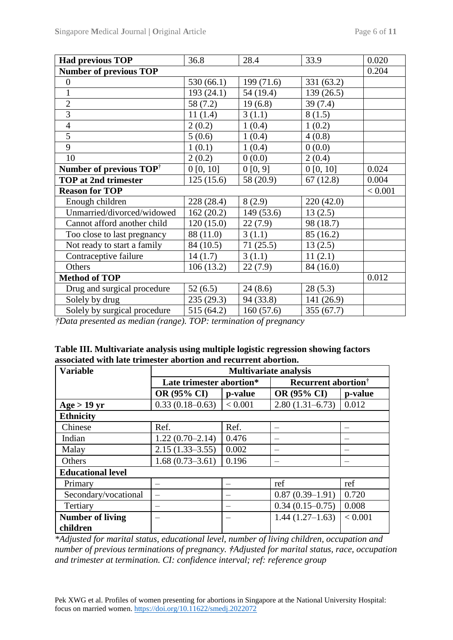| <b>Had previous TOP</b>             | 36.8       | 28.4       | 33.9       | 0.020 |
|-------------------------------------|------------|------------|------------|-------|
| <b>Number of previous TOP</b>       |            |            |            | 0.204 |
| $\boldsymbol{0}$                    | 530(66.1)  | 199 (71.6) | 331 (63.2) |       |
| $\mathbf{1}$                        | 193 (24.1) | 54 (19.4)  | 139(26.5)  |       |
| $\overline{2}$                      | 58 (7.2)   | 19(6.8)    | 39(7.4)    |       |
| $\overline{3}$                      | 11(1.4)    | 3(1.1)     | 8(1.5)     |       |
| $\overline{4}$                      | 2(0.2)     | 1(0.4)     | 1(0.2)     |       |
| $\overline{5}$                      | 5(0.6)     | 1(0.4)     | 4(0.8)     |       |
| 9                                   | 1(0.1)     | 1(0.4)     | 0(0.0)     |       |
| 10                                  | 2(0.2)     | 0(0.0)     | 2(0.4)     |       |
| Number of previous TOP <sup>†</sup> | 0 [0, 10]  | 0[0, 9]    | 0 [0, 10]  | 0.024 |
| <b>TOP at 2nd trimester</b>         | 125(15.6)  | 58 (20.9)  | 67(12.8)   | 0.004 |
| <b>Reason for TOP</b>               |            |            |            |       |
| Enough children                     | 228 (28.4) | 8(2.9)     | 220 (42.0) |       |
| Unmarried/divorced/widowed          | 162(20.2)  | 149 (53.6) | 13(2.5)    |       |
| Cannot afford another child         | 120(15.0)  | 22(7.9)    | 98 (18.7)  |       |
| Too close to last pregnancy         | 88 (11.0)  | 3(1.1)     | 85 (16.2)  |       |
| Not ready to start a family         | 84 (10.5)  | 71(25.5)   | 13(2.5)    |       |
| Contraceptive failure               | 14(1.7)    | 3(1.1)     | 11(2.1)    |       |
| Others                              | 106(13.2)  | 22(7.9)    | 84 (16.0)  |       |
| <b>Method of TOP</b>                |            |            |            |       |
| Drug and surgical procedure         | 52(6.5)    | 24(8.6)    | 28(5.3)    |       |
| Solely by drug                      | 235(29.3)  | 94 (33.8)  | 141 (26.9) |       |
| Solely by surgical procedure        | 515 (64.2) | 160(57.6)  | 355(67.7)  |       |

*†Data presented as median (range). TOP: termination of pregnancy*

| Table III. Multivariate analysis using multiple logistic regression showing factors |
|-------------------------------------------------------------------------------------|
| associated with late trimester abortion and recurrent abortion.                     |

| <b>Variable</b>          | <b>Multivariate analysis</b> |         |                                        |             |  |
|--------------------------|------------------------------|---------|----------------------------------------|-------------|--|
|                          | Late trimester abortion*     |         | <b>Recurrent abortion</b> <sup>†</sup> |             |  |
|                          | OR (95% CI)                  | p-value | OR (95% CI)                            | p-value     |  |
| Age > 19 yr              | $0.33(0.18-0.63)$            | < 0.001 | $2.80(1.31-6.73)$                      | 0.012       |  |
| <b>Ethnicity</b>         |                              |         |                                        |             |  |
| Chinese                  | Ref.                         | Ref.    |                                        |             |  |
| Indian                   | $1.22(0.70-2.14)$            | 0.476   |                                        |             |  |
| Malay                    | $2.15(1.33 - 3.55)$          | 0.002   |                                        |             |  |
| Others                   | $1.68(0.73 - 3.61)$          | 0.196   |                                        |             |  |
| <b>Educational level</b> |                              |         |                                        |             |  |
| Primary                  |                              |         | ref                                    | ref         |  |
| Secondary/vocational     |                              |         | $0.87(0.39-1.91)$                      | 0.720       |  |
| Tertiary                 |                              |         | $0.34(0.15-0.75)$                      | 0.008       |  |
| <b>Number of living</b>  |                              |         | $1.44(1.27-1.63)$                      | ${}< 0.001$ |  |
| children                 |                              |         |                                        |             |  |

*\*Adjusted for marital status, educational level, number of living children, occupation and number of previous terminations of pregnancy. †Adjusted for marital status, race, occupation and trimester at termination. CI: confidence interval; ref: reference group*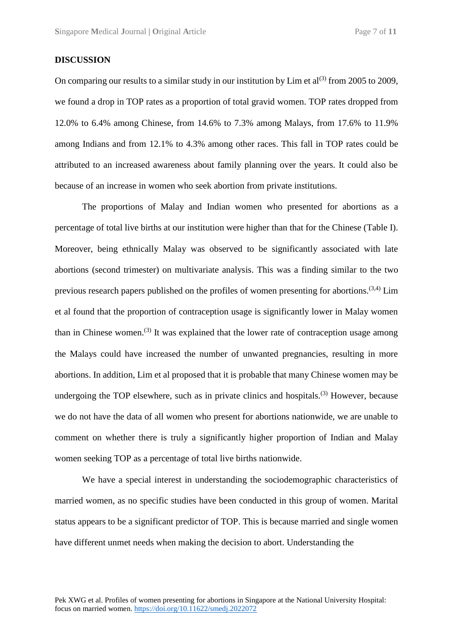### **DISCUSSION**

On comparing our results to a similar study in our institution by  $\text{Lim}$  et al<sup>(3)</sup> from 2005 to 2009, we found a drop in TOP rates as a proportion of total gravid women. TOP rates dropped from 12.0% to 6.4% among Chinese, from 14.6% to 7.3% among Malays, from 17.6% to 11.9% among Indians and from 12.1% to 4.3% among other races. This fall in TOP rates could be attributed to an increased awareness about family planning over the years. It could also be because of an increase in women who seek abortion from private institutions.

The proportions of Malay and Indian women who presented for abortions as a percentage of total live births at our institution were higher than that for the Chinese (Table I). Moreover, being ethnically Malay was observed to be significantly associated with late abortions (second trimester) on multivariate analysis. This was a finding similar to the two previous research papers published on the profiles of women presenting for abortions.<sup>(3,4)</sup> Lim et al found that the proportion of contraception usage is significantly lower in Malay women than in Chinese women.<sup>(3)</sup> It was explained that the lower rate of contraception usage among the Malays could have increased the number of unwanted pregnancies, resulting in more abortions. In addition, Lim et al proposed that it is probable that many Chinese women may be undergoing the TOP elsewhere, such as in private clinics and hospitals.<sup>(3)</sup> However, because we do not have the data of all women who present for abortions nationwide, we are unable to comment on whether there is truly a significantly higher proportion of Indian and Malay women seeking TOP as a percentage of total live births nationwide.

We have a special interest in understanding the sociodemographic characteristics of married women, as no specific studies have been conducted in this group of women. Marital status appears to be a significant predictor of TOP. This is because married and single women have different unmet needs when making the decision to abort. Understanding the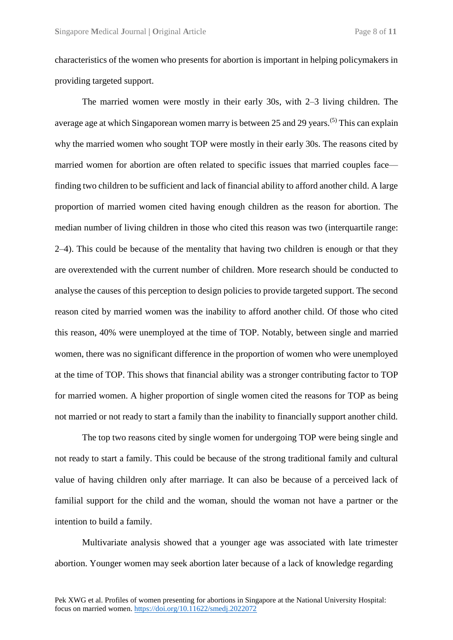characteristics of the women who presents for abortion is important in helping policymakers in providing targeted support.

The married women were mostly in their early 30s, with 2–3 living children. The average age at which Singaporean women marry is between 25 and 29 years.<sup>(5)</sup> This can explain why the married women who sought TOP were mostly in their early 30s. The reasons cited by married women for abortion are often related to specific issues that married couples face finding two children to be sufficient and lack of financial ability to afford another child. A large proportion of married women cited having enough children as the reason for abortion. The median number of living children in those who cited this reason was two (interquartile range: 2–4). This could be because of the mentality that having two children is enough or that they are overextended with the current number of children. More research should be conducted to analyse the causes of this perception to design policies to provide targeted support. The second reason cited by married women was the inability to afford another child. Of those who cited this reason, 40% were unemployed at the time of TOP. Notably, between single and married women, there was no significant difference in the proportion of women who were unemployed at the time of TOP. This shows that financial ability was a stronger contributing factor to TOP for married women. A higher proportion of single women cited the reasons for TOP as being not married or not ready to start a family than the inability to financially support another child.

The top two reasons cited by single women for undergoing TOP were being single and not ready to start a family. This could be because of the strong traditional family and cultural value of having children only after marriage. It can also be because of a perceived lack of familial support for the child and the woman, should the woman not have a partner or the intention to build a family.

Multivariate analysis showed that a younger age was associated with late trimester abortion. Younger women may seek abortion later because of a lack of knowledge regarding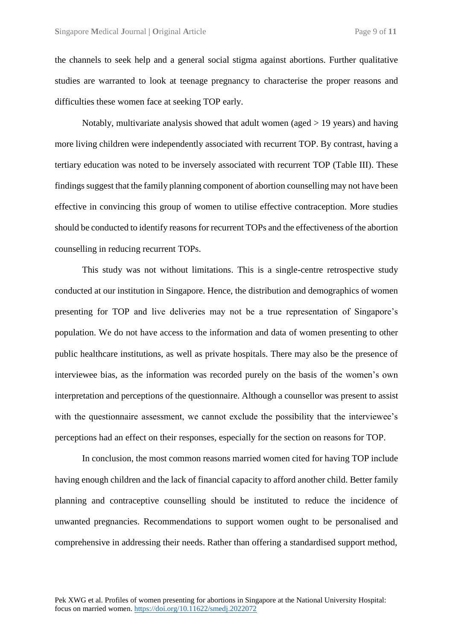the channels to seek help and a general social stigma against abortions. Further qualitative studies are warranted to look at teenage pregnancy to characterise the proper reasons and difficulties these women face at seeking TOP early.

Notably, multivariate analysis showed that adult women (aged  $> 19$  years) and having more living children were independently associated with recurrent TOP. By contrast, having a tertiary education was noted to be inversely associated with recurrent TOP (Table III). These findings suggest that the family planning component of abortion counselling may not have been effective in convincing this group of women to utilise effective contraception. More studies should be conducted to identify reasons for recurrent TOPs and the effectiveness of the abortion counselling in reducing recurrent TOPs.

This study was not without limitations. This is a single-centre retrospective study conducted at our institution in Singapore. Hence, the distribution and demographics of women presenting for TOP and live deliveries may not be a true representation of Singapore's population. We do not have access to the information and data of women presenting to other public healthcare institutions, as well as private hospitals. There may also be the presence of interviewee bias, as the information was recorded purely on the basis of the women's own interpretation and perceptions of the questionnaire. Although a counsellor was present to assist with the questionnaire assessment, we cannot exclude the possibility that the interviewee's perceptions had an effect on their responses, especially for the section on reasons for TOP.

In conclusion, the most common reasons married women cited for having TOP include having enough children and the lack of financial capacity to afford another child. Better family planning and contraceptive counselling should be instituted to reduce the incidence of unwanted pregnancies. Recommendations to support women ought to be personalised and comprehensive in addressing their needs. Rather than offering a standardised support method,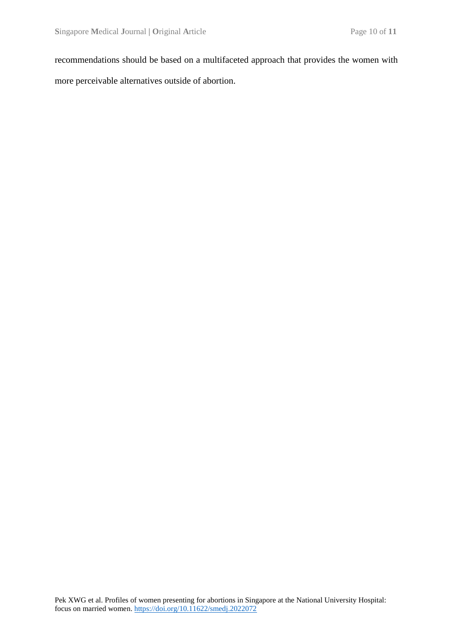recommendations should be based on a multifaceted approach that provides the women with more perceivable alternatives outside of abortion.